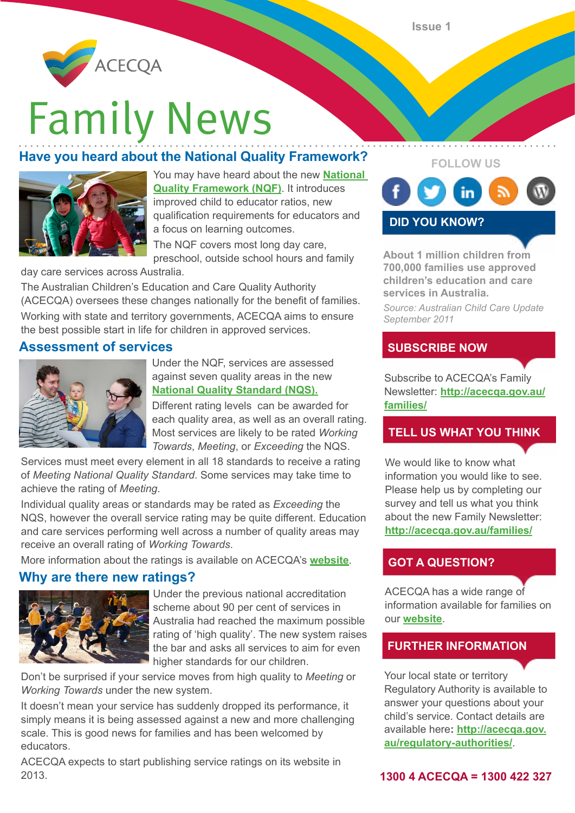

# **Family News**

# **Have you heard about the National Quality Framework?**



You may have heard about the new **[National](http://acecqa.gov.au/national-quality-framework/)  [Quality Framework](http://acecqa.gov.au/national-quality-framework/) (NQF)**. It introduces improved child to educator ratios, new qualification requirements for educators and a focus on learning outcomes.

The NQF covers most long day care, preschool, outside school hours and family

day care services across Australia.

The Australian Children's Education and Care Quality Authority (ACECQA) oversees these changes nationally for the benefit of families.

Working with state and territory governments, ACECQA aims to ensure the best possible start in life for children in approved services.

### **Assessment of services**



Under the NQF, services are assessed against seven quality areas in the new **[National Quality Standard \(NQS\)](http://acecqa.gov.au/national-quality-framework/national-quality-standard/).**

Different rating levels can be awarded for each quality area, as well as an overall rating. Most services are likely to be rated *Working Towards*, *Meeting*, or *Exceeding* the NQS.

Services must meet every element in all 18 standards to receive a rating of *Meeting National Quality Standard*. Some services may take time to achieve the rating of *Meeting*.

Individual quality areas or standards may be rated as *Exceeding* the NQS, however the overall service rating may be quite different. Education and care services performing well across a number of quality areas may receive an overall rating of *Working Towards*.

More information about the ratings is available on ACECQA's **[website](http://acecqa.gov.au/national-quality-framework/assessment-and-ratings/)**.

## **Why are there new ratings?**



Under the previous national accreditation scheme about 90 per cent of services in Australia had reached the maximum possible rating of 'high quality'. The new system raises the bar and asks all services to aim for even higher standards for our children.

Don't be surprised if your service moves from high quality to *Meeting* or *Working Towards* under the new system.

It doesn't mean your service has suddenly dropped its performance, it simply means it is being assessed against a new and more challenging scale. This is good news for families and has been welcomed by educators.

ACECQA expects to start publishing service ratings on its website in 2013. **1300 4 ACECQA = 1300 422 327**



**DID YOU KNOW?**

**About 1 million children from 700,000 families use approved children's education and care services in Australia.** 

*Source: Australian Child Care Update September 2011*

### **SUBSCRIBE NOW**

Subscribe to ACECQA's Family Newsletter: **[http://acecqa.gov.au/](http://acecqa.gov.au/families/) [families/](http://acecqa.gov.au/families/)**

### **TELL US WHAT YOU THINK**

We would like to know what information you would like to see. Please help us by completing our survey and tell us what you think about the new Family Newsletter: **<http://acecqa.gov.au/families/>**

### **GOT A QUESTION?**

ACECQA has a wide range of information available for families on our **[website](http://acecqa.gov.au/families/)**.

### **FURTHER INFORMATION**

Your local state or territory Regulatory Authority is available to answer your questions about your child's service. Contact details are available here**: [http://acecqa.gov.](http://acecqa.gov.au/regulatory-authorities/) [au/regulatory-authorities/](http://acecqa.gov.au/regulatory-authorities/)**.